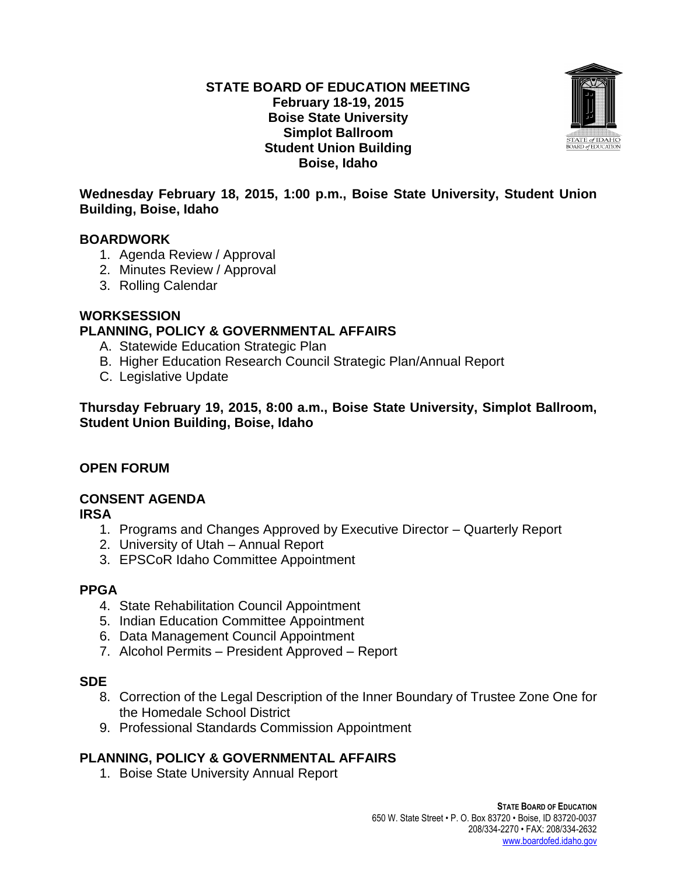#### **STATE BOARD OF EDUCATION MEETING February 18-19, 2015 Boise State University Simplot Ballroom Student Union Building Boise, Idaho**



### **Wednesday February 18, 2015, 1:00 p.m., Boise State University, Student Union Building, Boise, Idaho**

### **BOARDWORK**

- 1. Agenda Review / Approval
- 2. Minutes Review / Approval
- 3. Rolling Calendar

### **WORKSESSION**

# **PLANNING, POLICY & GOVERNMENTAL AFFAIRS**

- A. Statewide Education Strategic Plan
- B. Higher Education Research Council Strategic Plan/Annual Report
- C. Legislative Update

**Thursday February 19, 2015, 8:00 a.m., Boise State University, Simplot Ballroom, Student Union Building, Boise, Idaho**

# **OPEN FORUM**

# **CONSENT AGENDA**

**IRSA**

- 1. Programs and Changes Approved by Executive Director Quarterly Report
- 2. University of Utah Annual Report
- 3. EPSCoR Idaho Committee Appointment

# **PPGA**

- 4. State Rehabilitation Council Appointment
- 5. Indian Education Committee Appointment
- 6. Data Management Council Appointment
- 7. Alcohol Permits President Approved Report

#### **SDE**

- 8. Correction of the Legal Description of the Inner Boundary of Trustee Zone One for the Homedale School District
- 9. Professional Standards Commission Appointment

# **PLANNING, POLICY & GOVERNMENTAL AFFAIRS**

1. Boise State University Annual Report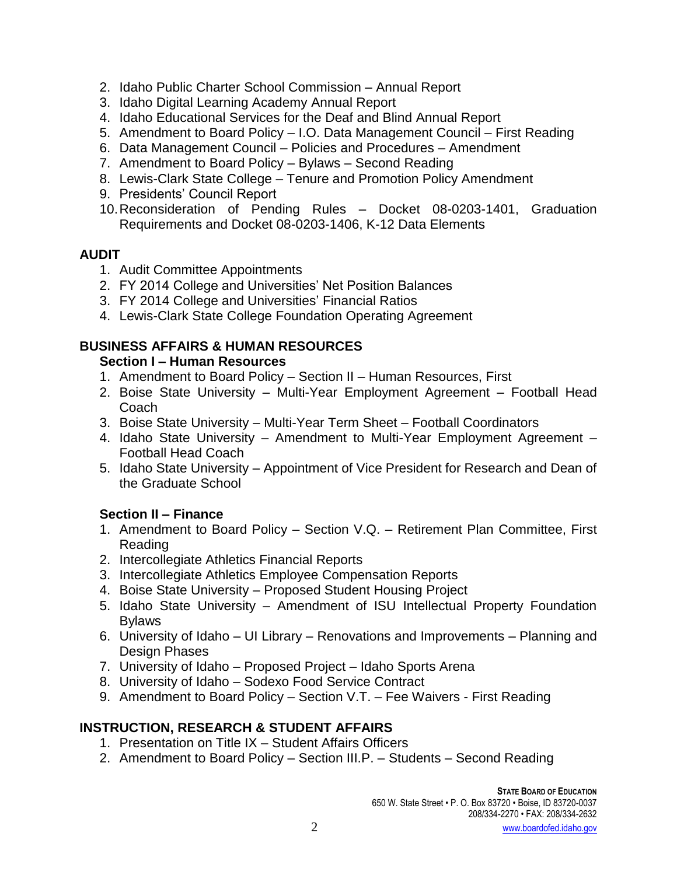- 2. Idaho Public Charter School Commission Annual Report
- 3. Idaho Digital Learning Academy Annual Report
- 4. Idaho Educational Services for the Deaf and Blind Annual Report
- 5. Amendment to Board Policy I.O. Data Management Council First Reading
- 6. Data Management Council Policies and Procedures Amendment
- 7. Amendment to Board Policy Bylaws Second Reading
- 8. Lewis-Clark State College Tenure and Promotion Policy Amendment
- 9. Presidents' Council Report
- 10.Reconsideration of Pending Rules Docket 08-0203-1401, Graduation Requirements and Docket 08-0203-1406, K-12 Data Elements

### **AUDIT**

- 1. Audit Committee Appointments
- 2. FY 2014 College and Universities' Net Position Balances
- 3. FY 2014 College and Universities' Financial Ratios
- 4. Lewis-Clark State College Foundation Operating Agreement

# **BUSINESS AFFAIRS & HUMAN RESOURCES**

#### **Section I – Human Resources**

- 1. Amendment to Board Policy Section II Human Resources, First
- 2. Boise State University Multi-Year Employment Agreement Football Head **Coach**
- 3. Boise State University Multi-Year Term Sheet Football Coordinators
- 4. Idaho State University Amendment to Multi-Year Employment Agreement Football Head Coach
- 5. Idaho State University Appointment of Vice President for Research and Dean of the Graduate School

# **Section II – Finance**

- 1. Amendment to Board Policy Section V.Q. Retirement Plan Committee, First Reading
- 2. Intercollegiate Athletics Financial Reports
- 3. Intercollegiate Athletics Employee Compensation Reports
- 4. Boise State University Proposed Student Housing Project
- 5. Idaho State University Amendment of ISU Intellectual Property Foundation Bylaws
- 6. University of Idaho UI Library Renovations and Improvements Planning and Design Phases
- 7. University of Idaho Proposed Project Idaho Sports Arena
- 8. University of Idaho Sodexo Food Service Contract
- 9. Amendment to Board Policy Section V.T. Fee Waivers First Reading

# **INSTRUCTION, RESEARCH & STUDENT AFFAIRS**

- 1. Presentation on Title IX Student Affairs Officers
- 2. Amendment to Board Policy Section III.P. Students Second Reading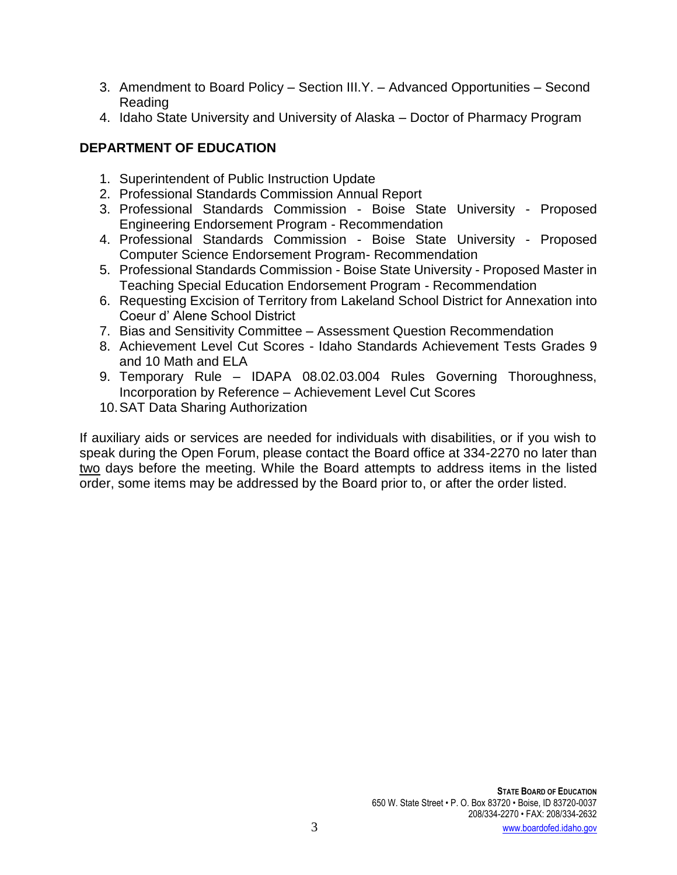- 3. Amendment to Board Policy Section III.Y. Advanced Opportunities Second Reading
- 4. Idaho State University and University of Alaska Doctor of Pharmacy Program

# **DEPARTMENT OF EDUCATION**

- 1. Superintendent of Public Instruction Update
- 2. Professional Standards Commission Annual Report
- 3. Professional Standards Commission Boise State University Proposed Engineering Endorsement Program - Recommendation
- 4. Professional Standards Commission Boise State University Proposed Computer Science Endorsement Program- Recommendation
- 5. Professional Standards Commission Boise State University Proposed Master in Teaching Special Education Endorsement Program - Recommendation
- 6. Requesting Excision of Territory from Lakeland School District for Annexation into Coeur d' Alene School District
- 7. Bias and Sensitivity Committee Assessment Question Recommendation
- 8. Achievement Level Cut Scores Idaho Standards Achievement Tests Grades 9 and 10 Math and ELA
- 9. Temporary Rule IDAPA 08.02.03.004 Rules Governing Thoroughness, Incorporation by Reference – Achievement Level Cut Scores
- 10.SAT Data Sharing Authorization

If auxiliary aids or services are needed for individuals with disabilities, or if you wish to speak during the Open Forum, please contact the Board office at 334-2270 no later than two days before the meeting. While the Board attempts to address items in the listed order, some items may be addressed by the Board prior to, or after the order listed.